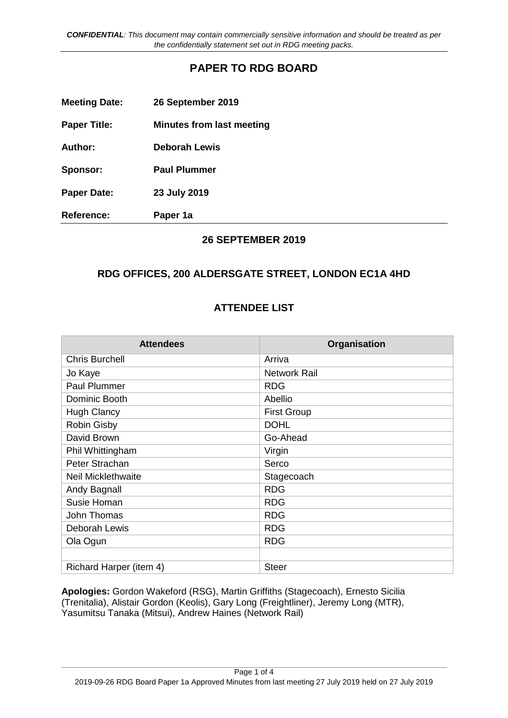# **PAPER TO RDG BOARD**

| <b>Meeting Date:</b> | 26 September 2019                |
|----------------------|----------------------------------|
| <b>Paper Title:</b>  | <b>Minutes from last meeting</b> |
| Author:              | <b>Deborah Lewis</b>             |
| Sponsor:             | <b>Paul Plummer</b>              |
| <b>Paper Date:</b>   | 23 July 2019                     |
| <b>Reference:</b>    | Paper 1a                         |

## **26 SEPTEMBER 2019**

# **RDG OFFICES, 200 ALDERSGATE STREET, LONDON EC1A 4HD**

## **ATTENDEE LIST**

| <b>Attendees</b>          | Organisation        |
|---------------------------|---------------------|
| <b>Chris Burchell</b>     | Arriva              |
| Jo Kaye                   | <b>Network Rail</b> |
| <b>Paul Plummer</b>       | <b>RDG</b>          |
| Dominic Booth             | Abellio             |
| <b>Hugh Clancy</b>        | <b>First Group</b>  |
| <b>Robin Gisby</b>        | <b>DOHL</b>         |
| David Brown               | Go-Ahead            |
| Phil Whittingham          | Virgin              |
| Peter Strachan            | Serco               |
| <b>Neil Micklethwaite</b> | Stagecoach          |
| Andy Bagnall              | <b>RDG</b>          |
| Susie Homan               | <b>RDG</b>          |
| John Thomas               | <b>RDG</b>          |
| Deborah Lewis             | <b>RDG</b>          |
| Ola Ogun                  | <b>RDG</b>          |
|                           |                     |
| Richard Harper (item 4)   | <b>Steer</b>        |

**Apologies:** Gordon Wakeford (RSG), Martin Griffiths (Stagecoach), Ernesto Sicilia (Trenitalia), Alistair Gordon (Keolis), Gary Long (Freightliner), Jeremy Long (MTR), Yasumitsu Tanaka (Mitsui), Andrew Haines (Network Rail)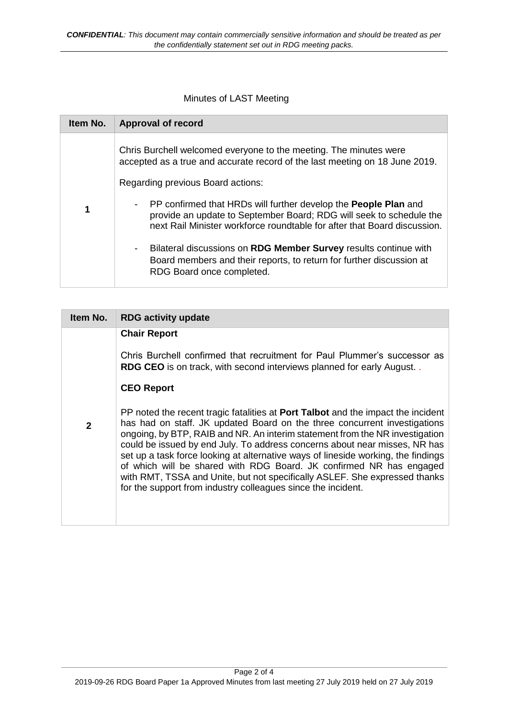Minutes of LAST Meeting

| Item No. | <b>Approval of record</b>                                                                                                                                                                                                                                                         |
|----------|-----------------------------------------------------------------------------------------------------------------------------------------------------------------------------------------------------------------------------------------------------------------------------------|
|          | Chris Burchell welcomed everyone to the meeting. The minutes were<br>accepted as a true and accurate record of the last meeting on 18 June 2019.<br>Regarding previous Board actions:<br>PP confirmed that HRDs will further develop the <b>People Plan</b> and<br>$\blacksquare$ |
| 1        | provide an update to September Board; RDG will seek to schedule the<br>next Rail Minister workforce roundtable for after that Board discussion.                                                                                                                                   |
|          | Bilateral discussions on RDG Member Survey results continue with<br>-<br>Board members and their reports, to return for further discussion at<br>RDG Board once completed.                                                                                                        |

| Chris Burchell confirmed that recruitment for Paul Plummer's successor as                                                                                                                                                                                                                                                                                                                                                                                                                                                                                                                                                                                                                                                   |
|-----------------------------------------------------------------------------------------------------------------------------------------------------------------------------------------------------------------------------------------------------------------------------------------------------------------------------------------------------------------------------------------------------------------------------------------------------------------------------------------------------------------------------------------------------------------------------------------------------------------------------------------------------------------------------------------------------------------------------|
| <b>RDG CEO</b> is on track, with second interviews planned for early August<br>PP noted the recent tragic fatalities at <b>Port Talbot</b> and the impact the incident<br>has had on staff. JK updated Board on the three concurrent investigations<br>ongoing, by BTP, RAIB and NR. An interim statement from the NR investigation<br>could be issued by end July. To address concerns about near misses, NR has<br>set up a task force looking at alternative ways of lineside working, the findings<br>of which will be shared with RDG Board. JK confirmed NR has engaged<br>with RMT, TSSA and Unite, but not specifically ASLEF. She expressed thanks<br>for the support from industry colleagues since the incident. |
|                                                                                                                                                                                                                                                                                                                                                                                                                                                                                                                                                                                                                                                                                                                             |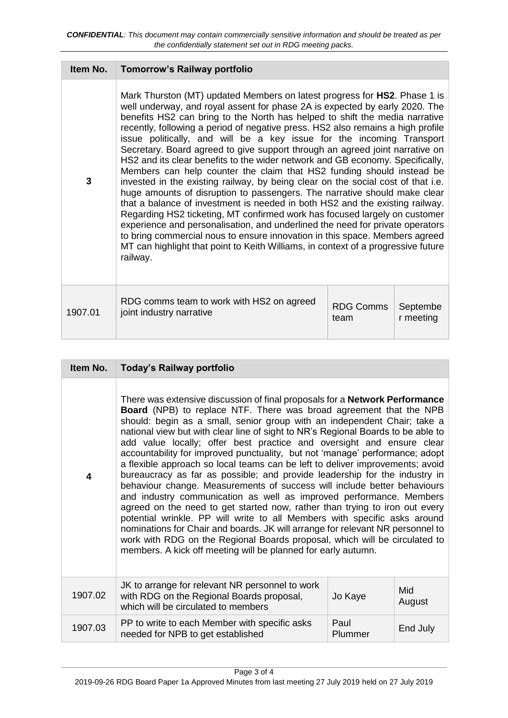| Item No. | <b>Tomorrow's Railway portfolio</b>                                                                                                                                                                                                                                                                                                                                                                                                                                                                                                                                                                                                                                                                                                                                                                                                                                                                                                                                                                                                                                                                                                                                                                                                           |                          |                       |
|----------|-----------------------------------------------------------------------------------------------------------------------------------------------------------------------------------------------------------------------------------------------------------------------------------------------------------------------------------------------------------------------------------------------------------------------------------------------------------------------------------------------------------------------------------------------------------------------------------------------------------------------------------------------------------------------------------------------------------------------------------------------------------------------------------------------------------------------------------------------------------------------------------------------------------------------------------------------------------------------------------------------------------------------------------------------------------------------------------------------------------------------------------------------------------------------------------------------------------------------------------------------|--------------------------|-----------------------|
| 3        | Mark Thurston (MT) updated Members on latest progress for HS2. Phase 1 is<br>well underway, and royal assent for phase 2A is expected by early 2020. The<br>benefits HS2 can bring to the North has helped to shift the media narrative<br>recently, following a period of negative press. HS2 also remains a high profile<br>issue politically, and will be a key issue for the incoming Transport<br>Secretary. Board agreed to give support through an agreed joint narrative on<br>HS2 and its clear benefits to the wider network and GB economy. Specifically,<br>Members can help counter the claim that HS2 funding should instead be<br>invested in the existing railway, by being clear on the social cost of that i.e.<br>huge amounts of disruption to passengers. The narrative should make clear<br>that a balance of investment is needed in both HS2 and the existing railway.<br>Regarding HS2 ticketing, MT confirmed work has focused largely on customer<br>experience and personalisation, and underlined the need for private operators<br>to bring commercial nous to ensure innovation in this space. Members agreed<br>MT can highlight that point to Keith Williams, in context of a progressive future<br>railway. |                          |                       |
| 1907.01  | RDG comms team to work with HS2 on agreed<br>joint industry narrative                                                                                                                                                                                                                                                                                                                                                                                                                                                                                                                                                                                                                                                                                                                                                                                                                                                                                                                                                                                                                                                                                                                                                                         | <b>RDG Comms</b><br>team | Septembe<br>r meeting |

| Item No. | Today's Railway portfolio                                                                                                                                                                                                                                                                                                                                                                                                                                                                                                                                                                                                                                                                                                                                                                                                                                                                                                                                                                                                                                                                                                                                                                               |                 |               |
|----------|---------------------------------------------------------------------------------------------------------------------------------------------------------------------------------------------------------------------------------------------------------------------------------------------------------------------------------------------------------------------------------------------------------------------------------------------------------------------------------------------------------------------------------------------------------------------------------------------------------------------------------------------------------------------------------------------------------------------------------------------------------------------------------------------------------------------------------------------------------------------------------------------------------------------------------------------------------------------------------------------------------------------------------------------------------------------------------------------------------------------------------------------------------------------------------------------------------|-----------------|---------------|
| 4        | There was extensive discussion of final proposals for a <b>Network Performance</b><br><b>Board</b> (NPB) to replace NTF. There was broad agreement that the NPB<br>should: begin as a small, senior group with an independent Chair; take a<br>national view but with clear line of sight to NR's Regional Boards to be able to<br>add value locally; offer best practice and oversight and ensure clear<br>accountability for improved punctuality, but not 'manage' performance; adopt<br>a flexible approach so local teams can be left to deliver improvements; avoid<br>bureaucracy as far as possible; and provide leadership for the industry in<br>behaviour change. Measurements of success will include better behaviours<br>and industry communication as well as improved performance. Members<br>agreed on the need to get started now, rather than trying to iron out every<br>potential wrinkle. PP will write to all Members with specific asks around<br>nominations for Chair and boards. JK will arrange for relevant NR personnel to<br>work with RDG on the Regional Boards proposal, which will be circulated to<br>members. A kick off meeting will be planned for early autumn. |                 |               |
| 1907.02  | JK to arrange for relevant NR personnel to work<br>with RDG on the Regional Boards proposal,<br>which will be circulated to members                                                                                                                                                                                                                                                                                                                                                                                                                                                                                                                                                                                                                                                                                                                                                                                                                                                                                                                                                                                                                                                                     | Jo Kaye         | Mid<br>August |
| 1907.03  | PP to write to each Member with specific asks<br>needed for NPB to get established                                                                                                                                                                                                                                                                                                                                                                                                                                                                                                                                                                                                                                                                                                                                                                                                                                                                                                                                                                                                                                                                                                                      | Paul<br>Plummer | End July      |